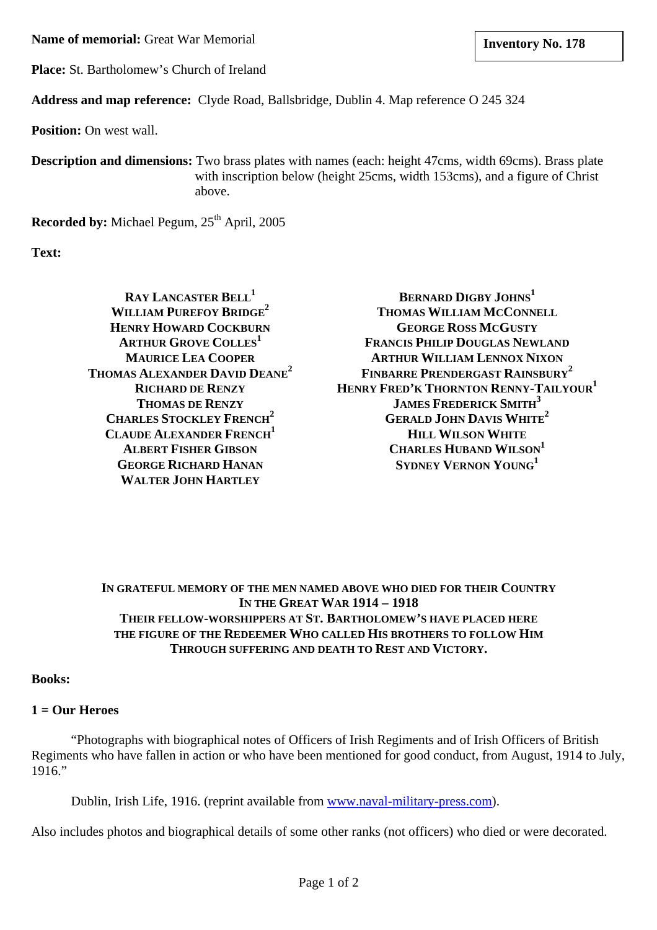**Name of memorial:** Great War Memorial **and Structure 1.128 lates 1.178 lates 1.178** 

**Place:** St. Bartholomew's Church of Ireland

**Address and map reference:** Clyde Road, Ballsbridge, Dublin 4. Map reference O 245 324

**Position:** On west wall.

**Description and dimensions:** Two brass plates with names (each: height 47cms, width 69cms). Brass plate with inscription below (height 25cms, width 153cms), and a figure of Christ above.

**Recorded by:** Michael Pegum, 25<sup>th</sup> April, 2005

**Text:**

**RAY LANCASTER BELL<sup>1</sup> WILLIAM PUREFOY BRIDGE2 HENRY HOWARD COCKBURN ARTHUR GROVE COLLES 1 MAURICE LEA COOPER THOMAS ALEXANDER DAVID DEANE2 RICHARD DE RENZY THOMAS DE RENZY CHARLES STOCKLEY FRENCH<sup>2</sup> CLAUDE ALEXANDER FRENCH<sup>1</sup> ALBERT FISHER GIBSON GEORGE RICHARD HANAN WALTER JOHN HARTLEY**

**BERNARD DIGBY JOHNS<sup>1</sup> THOMAS WILLIAM MCCONNELL GEORGE ROSS MCGUSTY FRANCIS PHILIP DOUGLAS NEWLAND ARTHUR WILLIAM LENNOX NIXON FINBARRE PRENDERGAST RAINSBURY<sup>2</sup> HENRY FRED'K THORNTON RENNY-TAILYOUR1 JAMES FREDERICK SMITH<sup>3</sup> GERALD JOHN DAVIS WHITE2 HILL WILSON WHITE** CHARLES HUBAND WILSON<sup>1</sup> **SYDNEY VERNON YOUNG<sup>1</sup>**

**IN GRATEFUL MEMORY OF THE MEN NAMED ABOVE WHO DIED FOR THEIR COUNTRY IN THE GREAT WAR 1914 – 1918 THEIR FELLOW-WORSHIPPERS AT ST. BARTHOLOMEW'S HAVE PLACED HERE THE FIGURE OF THE REDEEMER WHO CALLED HIS BROTHERS TO FOLLOW HIM THROUGH SUFFERING AND DEATH TO REST AND VICTORY.** 

**Books:** 

## **1 = Our Heroes**

"Photographs with biographical notes of Officers of Irish Regiments and of Irish Officers of British Regiments who have fallen in action or who have been mentioned for good conduct, from August, 1914 to July,  $1916$ ."

Dublin, Irish Life, 1916. (reprint available from [www.naval-military-press.com\)](http://www.naval-military-press.com/).

Also includes photos and biographical details of some other ranks (not officers) who died or were decorated.